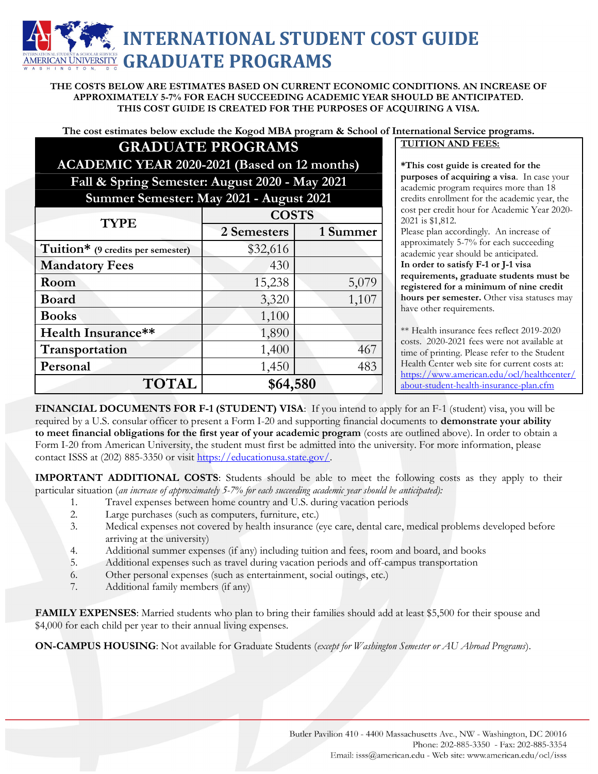## INTERNATIONAL STUDENT COST GUIDE RICAN UNIVERSITY GRADUATE PROGRAMS

THE COSTS BELOW ARE ESTIMATES BASED ON CURRENT ECONOMIC CONDITIONS. AN INCREASE OF APPROXIMATELY 5-7% FOR EACH SUCCEEDING ACADEMIC YEAR SHOULD BE ANTICIPATED. THIS COST GUIDE IS CREATED FOR THE PURPOSES OF ACQUIRING A VISA.

The cost estimates below exclude the Kogod MBA program & School of International Service programs.

## GRADUATE PROGRAMS TUITION AND FEES: ACADEMIC YEAR 2020-2021 (Based on 12 months) Fall & Spring Semester: August 2020 - May 2021

### Summer Semester: May 2021 - August 2021

| <b>TYPE</b>                       | <b>COSTS</b> |          |
|-----------------------------------|--------------|----------|
|                                   | 2 Semesters  | 1 Summer |
| Tuition* (9 credits per semester) | \$32,616     |          |
| <b>Mandatory Fees</b>             | 430          |          |
| Room                              | 15,238       | 5,079    |
| <b>Board</b>                      | 3,320        | 1,107    |
| <b>Books</b>                      | 1,100        |          |
| Health Insurance**                | 1,890        |          |
| Transportation                    | 1,400        | 467      |
| Personal                          | 1,450        | 483      |
| <b>TOTAL</b>                      | \$64,580     |          |

\*This cost guide is created for the purposes of acquiring a visa. In case your academic program requires more than 18 credits enrollment for the academic year, the cost per credit hour for Academic Year 2020- 2021 is \$1,812.

Please plan accordingly. An increase of approximately 5-7% for each succeeding academic year should be anticipated. In order to satisfy F-1 or J-1 visa requirements, graduate students must be registered for a minimum of nine credit hours per semester. Other visa statuses may have other requirements.

\*\* Health insurance fees reflect 2019-2020 costs. 2020-2021 fees were not available at time of printing. Please refer to the Student Health Center web site for current costs at: https://www.american.edu/ocl/healthcenter/ about-student-health-insurance-plan.cfm

FINANCIAL DOCUMENTS FOR F-1 (STUDENT) VISA: If you intend to apply for an F-1 (student) visa, you will be required by a U.S. consular officer to present a Form I-20 and supporting financial documents to **demonstrate your ability** to meet financial obligations for the first year of your academic program (costs are outlined above). In order to obtain a Form I-20 from American University, the student must first be admitted into the university. For more information, please contact ISSS at (202) 885-3350 or visit https://educationusa.state.gov/.

IMPORTANT ADDITIONAL COSTS: Students should be able to meet the following costs as they apply to their particular situation (an increase of approximately 5-7% for each succeeding academic year should be anticipated):

- 1. Travel expenses between home country and U.S. during vacation periods
- 2. Large purchases (such as computers, furniture, etc.)
- 3. Medical expenses not covered by health insurance (eye care, dental care, medical problems developed before arriving at the university)
- 4. Additional summer expenses (if any) including tuition and fees, room and board, and books
- 5. Additional expenses such as travel during vacation periods and off-campus transportation
- 6. Other personal expenses (such as entertainment, social outings, etc.)
- 7. Additional family members (if any)

FAMILY EXPENSES: Married students who plan to bring their families should add at least \$5,500 for their spouse and \$4,000 for each child per year to their annual living expenses.

ON-CAMPUS HOUSING: Not available for Graduate Students (except for Washington Semester or AU Abroad Programs).